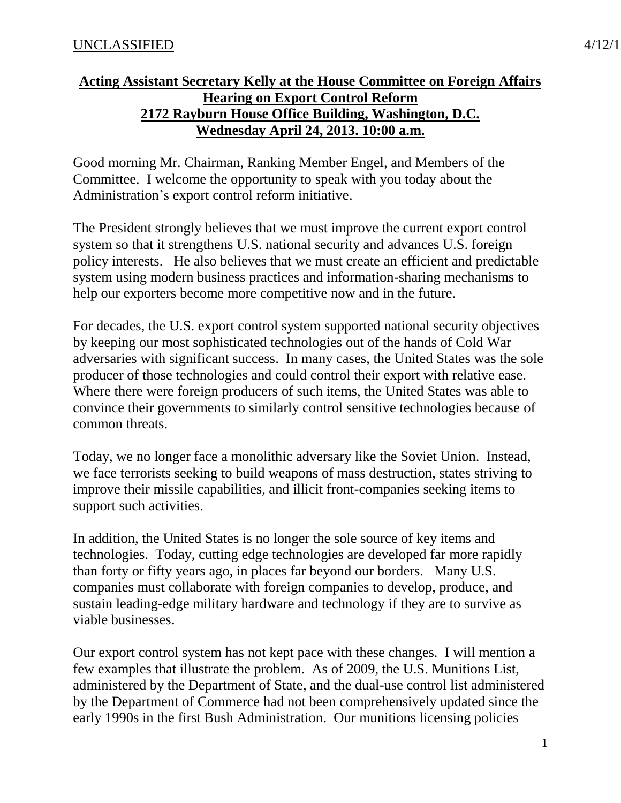Good morning Mr. Chairman, Ranking Member Engel, and Members of the Committee. I welcome the opportunity to speak with you today about the Administration's export control reform initiative.

The President strongly believes that we must improve the current export control system so that it strengthens U.S. national security and advances U.S. foreign policy interests. He also believes that we must create an efficient and predictable system using modern business practices and information-sharing mechanisms to help our exporters become more competitive now and in the future.

For decades, the U.S. export control system supported national security objectives by keeping our most sophisticated technologies out of the hands of Cold War adversaries with significant success. In many cases, the United States was the sole producer of those technologies and could control their export with relative ease. Where there were foreign producers of such items, the United States was able to convince their governments to similarly control sensitive technologies because of common threats.

Today, we no longer face a monolithic adversary like the Soviet Union. Instead, we face terrorists seeking to build weapons of mass destruction, states striving to improve their missile capabilities, and illicit front-companies seeking items to support such activities.

In addition, the United States is no longer the sole source of key items and technologies. Today, cutting edge technologies are developed far more rapidly than forty or fifty years ago, in places far beyond our borders. Many U.S. companies must collaborate with foreign companies to develop, produce, and sustain leading-edge military hardware and technology if they are to survive as viable businesses.

Our export control system has not kept pace with these changes. I will mention a few examples that illustrate the problem. As of 2009, the U.S. Munitions List, administered by the Department of State, and the dual-use control list administered by the Department of Commerce had not been comprehensively updated since the early 1990s in the first Bush Administration. Our munitions licensing policies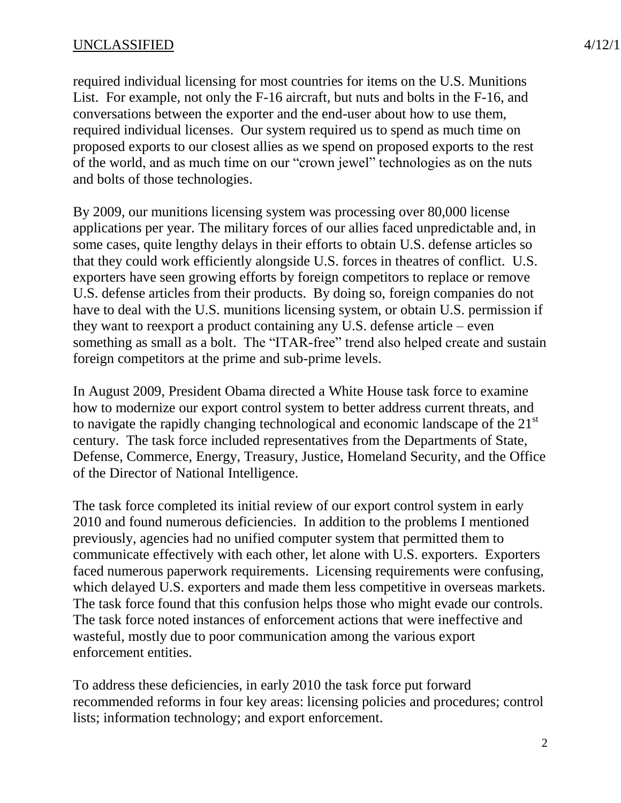## $UNCLASSIFIED$   $4/12/1$

required individual licensing for most countries for items on the U.S. Munitions List. For example, not only the F-16 aircraft, but nuts and bolts in the F-16, and conversations between the exporter and the end-user about how to use them, required individual licenses. Our system required us to spend as much time on proposed exports to our closest allies as we spend on proposed exports to the rest of the world, and as much time on our "crown jewel" technologies as on the nuts and bolts of those technologies.

By 2009, our munitions licensing system was processing over 80,000 license applications per year. The military forces of our allies faced unpredictable and, in some cases, quite lengthy delays in their efforts to obtain U.S. defense articles so that they could work efficiently alongside U.S. forces in theatres of conflict. U.S. exporters have seen growing efforts by foreign competitors to replace or remove U.S. defense articles from their products. By doing so, foreign companies do not have to deal with the U.S. munitions licensing system, or obtain U.S. permission if they want to reexport a product containing any U.S. defense article – even something as small as a bolt. The "ITAR-free" trend also helped create and sustain foreign competitors at the prime and sub-prime levels.

In August 2009, President Obama directed a White House task force to examine how to modernize our export control system to better address current threats, and to navigate the rapidly changing technological and economic landscape of the 21<sup>st</sup> century. The task force included representatives from the Departments of State, Defense, Commerce, Energy, Treasury, Justice, Homeland Security, and the Office of the Director of National Intelligence.

The task force completed its initial review of our export control system in early 2010 and found numerous deficiencies. In addition to the problems I mentioned previously, agencies had no unified computer system that permitted them to communicate effectively with each other, let alone with U.S. exporters. Exporters faced numerous paperwork requirements. Licensing requirements were confusing, which delayed U.S. exporters and made them less competitive in overseas markets. The task force found that this confusion helps those who might evade our controls. The task force noted instances of enforcement actions that were ineffective and wasteful, mostly due to poor communication among the various export enforcement entities.

To address these deficiencies, in early 2010 the task force put forward recommended reforms in four key areas: licensing policies and procedures; control lists; information technology; and export enforcement.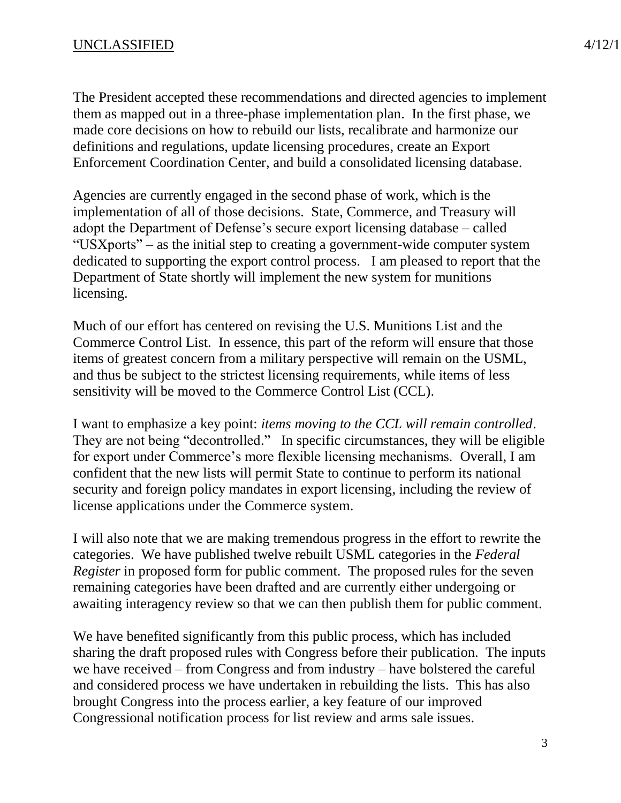The President accepted these recommendations and directed agencies to implement them as mapped out in a three-phase implementation plan. In the first phase, we made core decisions on how to rebuild our lists, recalibrate and harmonize our definitions and regulations, update licensing procedures, create an Export Enforcement Coordination Center, and build a consolidated licensing database.

Agencies are currently engaged in the second phase of work, which is the implementation of all of those decisions. State, Commerce, and Treasury will adopt the Department of Defense's secure export licensing database – called "USXports" – as the initial step to creating a government-wide computer system dedicated to supporting the export control process. I am pleased to report that the Department of State shortly will implement the new system for munitions licensing.

Much of our effort has centered on revising the U.S. Munitions List and the Commerce Control List. In essence, this part of the reform will ensure that those items of greatest concern from a military perspective will remain on the USML, and thus be subject to the strictest licensing requirements, while items of less sensitivity will be moved to the Commerce Control List (CCL).

I want to emphasize a key point: *items moving to the CCL will remain controlled*. They are not being "decontrolled." In specific circumstances, they will be eligible for export under Commerce's more flexible licensing mechanisms. Overall, I am confident that the new lists will permit State to continue to perform its national security and foreign policy mandates in export licensing, including the review of license applications under the Commerce system.

I will also note that we are making tremendous progress in the effort to rewrite the categories. We have published twelve rebuilt USML categories in the *Federal Register* in proposed form for public comment. The proposed rules for the seven remaining categories have been drafted and are currently either undergoing or awaiting interagency review so that we can then publish them for public comment.

We have benefited significantly from this public process, which has included sharing the draft proposed rules with Congress before their publication. The inputs we have received – from Congress and from industry – have bolstered the careful and considered process we have undertaken in rebuilding the lists. This has also brought Congress into the process earlier, a key feature of our improved Congressional notification process for list review and arms sale issues.